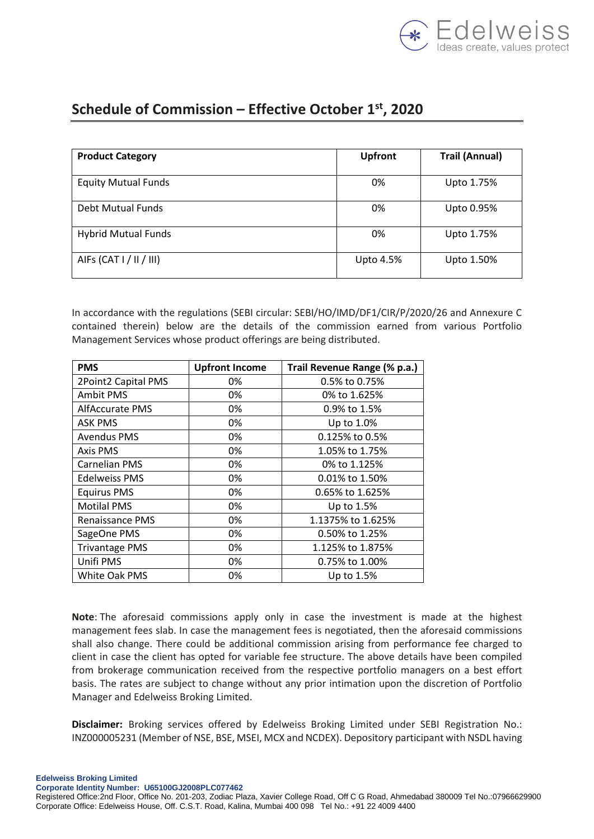

## **Schedule of Commission – Effective October 1st, 2020**

| <b>Product Category</b>    | <b>Upfront</b> | <b>Trail (Annual)</b> |
|----------------------------|----------------|-----------------------|
| <b>Equity Mutual Funds</b> | 0%             | Upto 1.75%            |
| Debt Mutual Funds          | 0%             | Upto 0.95%            |
| <b>Hybrid Mutual Funds</b> | 0%             | Upto 1.75%            |
| AIFs (CAT I / II / III)    | Upto 4.5%      | Upto 1.50%            |

In accordance with the regulations (SEBI circular: SEBI/HO/IMD/DF1/CIR/P/2020/26 and Annexure C contained therein) below are the details of the commission earned from various Portfolio Management Services whose product offerings are being distributed.

| <b>PMS</b>            | <b>Upfront Income</b> | Trail Revenue Range (% p.a.) |  |
|-----------------------|-----------------------|------------------------------|--|
| 2Point2 Capital PMS   | 0%                    | 0.5% to 0.75%                |  |
| Ambit PMS             | 0%                    | 0% to 1.625%                 |  |
| AlfAccurate PMS       | 0%                    | 0.9% to 1.5%                 |  |
| <b>ASK PMS</b>        | 0%                    | Up to 1.0%                   |  |
| <b>Avendus PMS</b>    | 0%                    | 0.125% to 0.5%               |  |
| Axis PMS              | 0%                    | 1.05% to 1.75%               |  |
| <b>Carnelian PMS</b>  | 0%                    | 0% to 1.125%                 |  |
| Edelweiss PMS         | 0%                    | 0.01% to 1.50%               |  |
| <b>Equirus PMS</b>    | 0%                    | 0.65% to 1.625%              |  |
| <b>Motilal PMS</b>    | 0%                    | Up to 1.5%                   |  |
| Renaissance PMS       | 0%                    | 1.1375% to 1.625%            |  |
| SageOne PMS           | 0%                    | 0.50% to 1.25%               |  |
| <b>Trivantage PMS</b> | 0%                    | 1.125% to 1.875%             |  |
| Unifi PMS             | 0%                    | 0.75% to 1.00%               |  |
| White Oak PMS         | 0%                    | Up to 1.5%                   |  |

**Note**: The aforesaid commissions apply only in case the investment is made at the highest management fees slab. In case the management fees is negotiated, then the aforesaid commissions shall also change. There could be additional commission arising from performance fee charged to client in case the client has opted for variable fee structure. The above details have been compiled from brokerage communication received from the respective portfolio managers on a best effort basis. The rates are subject to change without any prior intimation upon the discretion of Portfolio Manager and Edelweiss Broking Limited.

**Disclaimer:** Broking services offered by Edelweiss Broking Limited under SEBI Registration No.: INZ000005231 (Member of NSE, BSE, MSEI, MCX and NCDEX). Depository participant with NSDL having

**Edelweiss Broking Limited Corporate Identity Number: U65100GJ2008PLC077462**